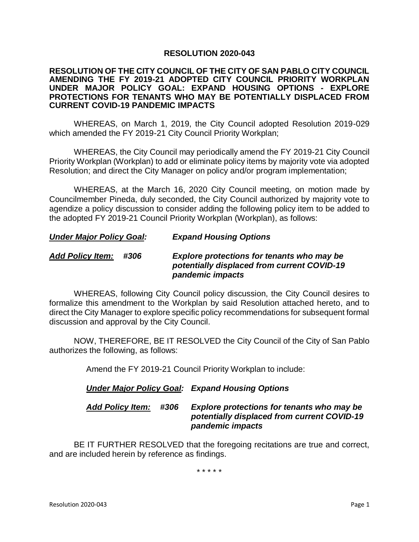### **RESOLUTION 2020-043**

#### **RESOLUTION OF THE CITY COUNCIL OF THE CITY OF SAN PABLO CITY COUNCIL AMENDING THE FY 2019-21 ADOPTED CITY COUNCIL PRIORITY WORKPLAN UNDER MAJOR POLICY GOAL: EXPAND HOUSING OPTIONS - EXPLORE PROTECTIONS FOR TENANTS WHO MAY BE POTENTIALLY DISPLACED FROM CURRENT COVID-19 PANDEMIC IMPACTS**

WHEREAS, on March 1, 2019, the City Council adopted Resolution 2019-029 which amended the FY 2019-21 City Council Priority Workplan;

WHEREAS, the City Council may periodically amend the FY 2019-21 City Council Priority Workplan (Workplan) to add or eliminate policy items by majority vote via adopted Resolution; and direct the City Manager on policy and/or program implementation;

WHEREAS, at the March 16, 2020 City Council meeting, on motion made by Councilmember Pineda, duly seconded, the City Council authorized by majority vote to agendize a policy discussion to consider adding the following policy item to be added to the adopted FY 2019-21 Council Priority Workplan (Workplan), as follows:

## *Under Major Policy Goal: Expand Housing Options*

# *Add Policy Item: #306 Explore protections for tenants who may be potentially displaced from current COVID-19 pandemic impacts*

WHEREAS, following City Council policy discussion, the City Council desires to formalize this amendment to the Workplan by said Resolution attached hereto, and to direct the City Manager to explore specific policy recommendations for subsequent formal discussion and approval by the City Council.

NOW, THEREFORE, BE IT RESOLVED the City Council of the City of San Pablo authorizes the following, as follows:

Amend the FY 2019-21 Council Priority Workplan to include:

# *Under Major Policy Goal: Expand Housing Options*

# *Add Policy Item: #306 Explore protections for tenants who may be potentially displaced from current COVID-19 pandemic impacts*

BE IT FURTHER RESOLVED that the foregoing recitations are true and correct, and are included herein by reference as findings.

\* \* \* \* \*